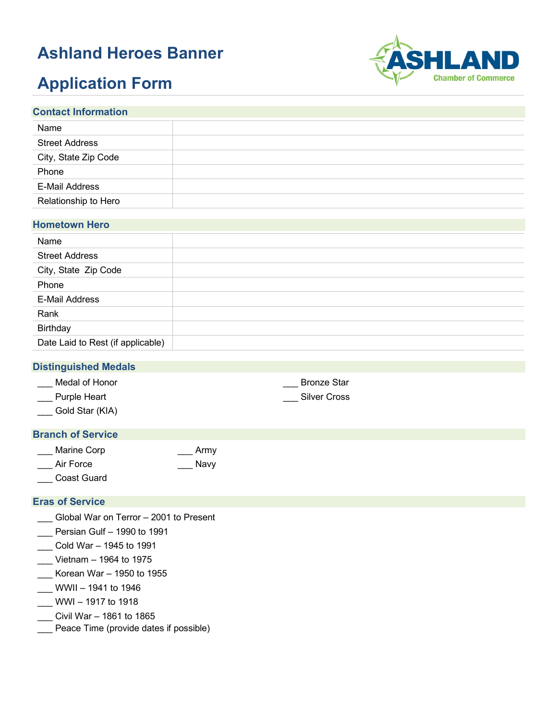## **Ashland Heroes Banner**

# **Application Form**



| <b>Contact Information</b> |  |  |
|----------------------------|--|--|
| Name                       |  |  |
| <b>Street Address</b>      |  |  |
| City, State Zip Code       |  |  |
| Phone                      |  |  |
| <b>E-Mail Address</b>      |  |  |
| Relationship to Hero       |  |  |
|                            |  |  |

### **Hometown Hero**

| Name                              |  |
|-----------------------------------|--|
| <b>Street Address</b>             |  |
| City, State Zip Code              |  |
| Phone                             |  |
| <b>E-Mail Address</b>             |  |
| Rank                              |  |
| Birthday                          |  |
| Date Laid to Rest (if applicable) |  |

#### **Distinguished Medals**

| Medal of Honor | <b>Bronze Star</b>  |
|----------------|---------------------|
| Purple Heart   | <b>Silver Cross</b> |

\_\_\_ Gold Star (KIA)

#### **Branch of Service**

| Marine Corp | Army |
|-------------|------|
| Air Force   | Navy |
| Coast Guard |      |

#### **Eras of Service**

- \_\_\_ Global War on Terror 2001 to Present
- \_\_\_ Persian Gulf 1990 to 1991
- \_\_\_ Cold War 1945 to 1991
- \_\_\_ Vietnam 1964 to 1975
- \_\_\_ Korean War 1950 to 1955
- $\frac{1}{2}$  WWII 1941 to 1946
- \_\_\_ WWI 1917 to 1918
- \_\_\_ Civil War 1861 to 1865
- \_\_\_ Peace Time (provide dates if possible)